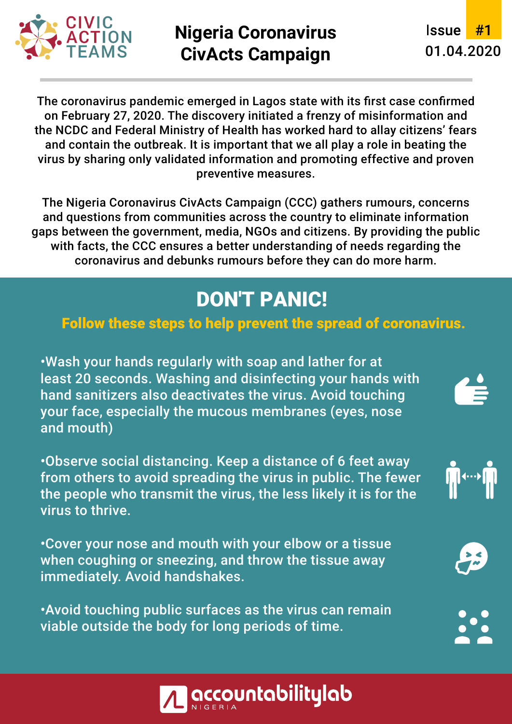

## **Nigeria Coronavirus CivActs Campaign** 01.04.2020

**Issue** #1

The coronavirus pandemic emerged in Lagos state with its first case confirmed on February 27, 2020. The discovery initiated a frenzy of misinformation and the NCDC and Federal Ministry of Health has worked hard to allay citizens' fears and contain the outbreak. It is important that we all play a role in beating the virus by sharing only validated information and promoting effective and proven preventive measures.

The Nigeria Coronavirus CivActs Campaign (CCC) gathers rumours, concerns and questions from communities across the country to eliminate information gaps between the government, media, NGOs and citizens. By providing the public with facts, the CCC ensures a better understanding of needs regarding the coronavirus and debunks rumours before they can do more harm.

# **DON'T PANIC!**

### Follow these steps to help prevent the spread of coronavirus.

• Wash your hands regularly with soap and lather for at least 20 seconds. Washing and disinfecting your hands with hand sanitizers also deactivates the virus. Avoid touching your face, especially the mucous membranes (eyes, nose and mouth)

• Observe social distancing. Keep a distance of 6 feet away from others to avoid spreading the virus in public. The fewer the people who transmit the virus, the less likely it is for the virus to thrive.

• Cover your nose and mouth with your elbow or a tissue when coughing or sneezing, and throw the tissue away immediately. Avoid handshakes.

• Avoid touching public surfaces as the virus can remain viable outside the body for long periods of time.









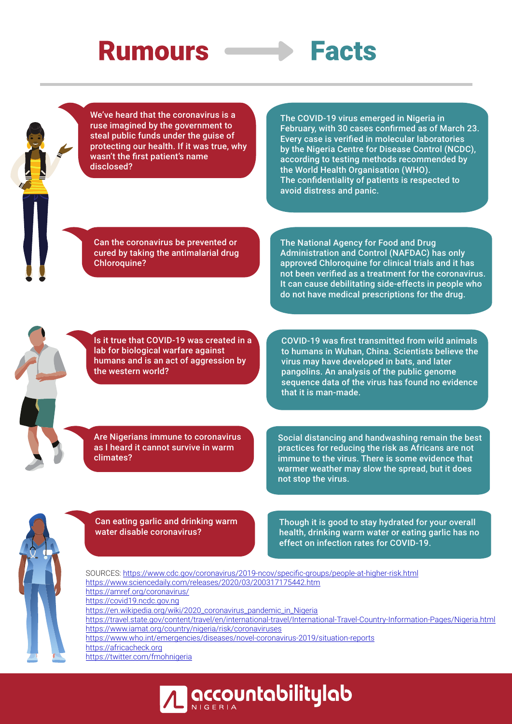# **Rumours**



We've heard that the coronavirus is a ruse imagined by the government to steal public funds under the guise of protecting our health. If it was true, why wasn't the first patient's name disclosed?

The COVID-19 virus emerged in Nigeria in February, with 30 cases confirmed as of March 23. Every case is verified in molecular laboratories by the Nigeria Centre for Disease Control (NCDC), according to testing methods recommended by the World Health Organisation (WHO). The confidentiality of patients is respected to avoid distress and panic.

Can the coronavirus be prevented or cured by taking the antimalarial drug Chloroquine?

The National Agency for Food and Drug Administration and Control (NAFDAC) has only approved Chloroquine for clinical trials and it has not been verified as a treatment for the coronavirus. It can cause debilitating side-effects in people who do not have medical prescriptions for the drug.

Is it true that COVID-19 was created in a lab for biological warfare against humans and is an act of aggression by the western world?

COVID-19 was first transmitted from wild animals to humans in Wuhan, China. Scientists believe the virus may have developed in bats, and later pangolins. An analysis of the public genome sequence data of the virus has found no evidence that it is man-made.

Are Nigerians immune to coronavirus as I heard it cannot survive in warm climates?

Social distancing and handwashing remain the best practices for reducing the risk as Africans are not immune to the virus. There is some evidence that warmer weather may slow the spread, but it does not stop the virus.



Can eating garlic and drinking warm water disable coronavirus?

Though it is good to stay hydrated for your overall health, drinking warm water or eating garlic has no effect on infection rates for COVID-19.

SOURCES: https://www.cdc.gov/coronavirus/2019-ncov/specific-groups/people-at-higher-risk.html https://www.sciencedaily.com/releases/2020/03/200317175442.htm https://amref.org/coronavirus/ https://covid19.ncdc.gov.ng https://en.wikipedia.org/wiki/2020\_coronavirus\_pandemic\_in\_Nigeria https://travel.state.gov/content/travel/en/international-travel/International-Travel-Country-Information-Pages/Nigeria.html https://www.iamat.org/country/nigeria/risk/coronaviruses https://www.who.int/emergencies/diseases/novel-coronavirus-2019/situation-reports https://africacheck.org https://twitter.com/fmohnigeria

**| accountabilitylab**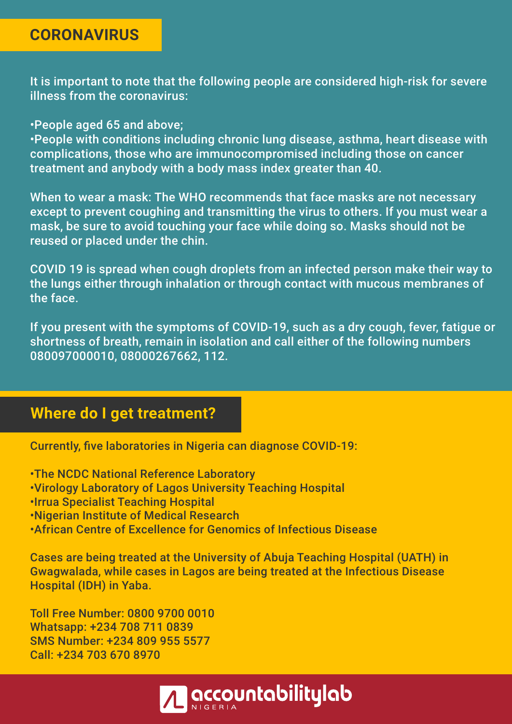### **CORONAVIRUS**

It is important to note that the following people are considered high-risk for severe illness from the coronavirus:

• People aged 65 and above;

• People with conditions including chronic lung disease, asthma, heart disease with complications, those who are immunocompromised including those on cancer treatment and anybody with a body mass index greater than 40.

When to wear a mask: The WHO recommends that face masks are not necessary except to prevent coughing and transmitting the virus to others. If you must wear a mask, be sure to avoid touching your face while doing so. Masks should not be reused or placed under the chin.

COVID 19 is spread when cough droplets from an infected person make their way to the lungs either through inhalation or through contact with mucous membranes of the face.

If you present with the symptoms of COVID-19, such as a dry cough, fever, fatigue or shortness of breath, remain in isolation and call either of the following numbers 080097000010, 08000267662, 112.

### **Where do I get treatment?**

Currently, five laboratories in Nigeria can diagnose COVID-19:

• The NCDC National Reference Laboratory

- Virology Laboratory of Lagos University Teaching Hospital
- Irrua Specialist Teaching Hospital
- Nigerian Institute of Medical Research
- African Centre of Excellence for Genomics of Infectious Disease

Cases are being treated at the University of Abuja Teaching Hospital (UATH) in Gwagwalada, while cases in Lagos are being treated at the Infectious Disease Hospital (IDH) in Yaba.

Toll Free Number: 0800 9700 0010 Whatsapp: +234 708 711 0839 SMS Number: +234 809 955 5577 Call: +234 703 670 8970